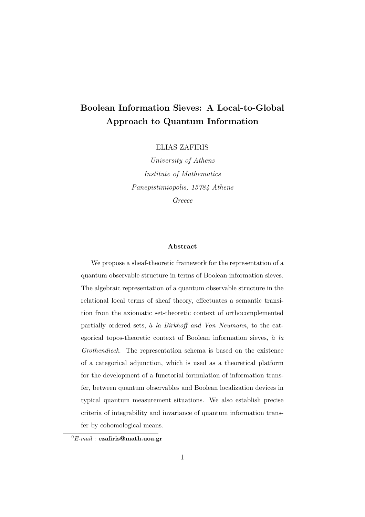### Boolean Information Sieves: A Local-to-Global Approach to Quantum Information

ELIAS ZAFIRIS

University of Athens Institute of Mathematics Panepistimiopolis, 15784 Athens Greece

#### Abstract

We propose a sheaf-theoretic framework for the representation of a quantum observable structure in terms of Boolean information sieves. The algebraic representation of a quantum observable structure in the relational local terms of sheaf theory, effectuates a semantic transition from the axiomatic set-theoretic context of orthocomplemented partially ordered sets, à la Birkhoff and Von Neumann, to the categorical topos-theoretic context of Boolean information sieves,  $\dot{a}$  la Grothendieck. The representation schema is based on the existence of a categorical adjunction, which is used as a theoretical platform for the development of a functorial formulation of information transfer, between quantum observables and Boolean localization devices in typical quantum measurement situations. We also establish precise criteria of integrability and invariance of quantum information transfer by cohomological means.

 ${}^{0}E$ -mail : ezafiris@math.uoa.gr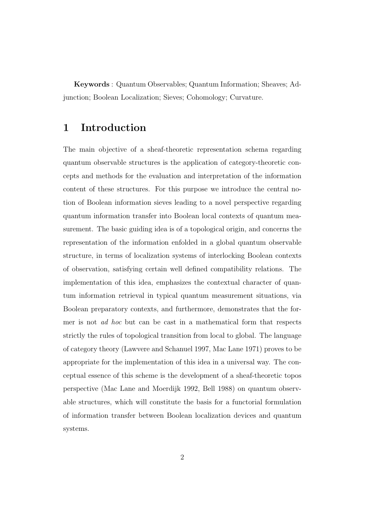Keywords : Quantum Observables; Quantum Information; Sheaves; Adjunction; Boolean Localization; Sieves; Cohomology; Curvature.

#### 1 Introduction

The main objective of a sheaf-theoretic representation schema regarding quantum observable structures is the application of category-theoretic concepts and methods for the evaluation and interpretation of the information content of these structures. For this purpose we introduce the central notion of Boolean information sieves leading to a novel perspective regarding quantum information transfer into Boolean local contexts of quantum measurement. The basic guiding idea is of a topological origin, and concerns the representation of the information enfolded in a global quantum observable structure, in terms of localization systems of interlocking Boolean contexts of observation, satisfying certain well defined compatibility relations. The implementation of this idea, emphasizes the contextual character of quantum information retrieval in typical quantum measurement situations, via Boolean preparatory contexts, and furthermore, demonstrates that the former is not ad hoc but can be cast in a mathematical form that respects strictly the rules of topological transition from local to global. The language of category theory (Lawvere and Schanuel 1997, Mac Lane 1971) proves to be appropriate for the implementation of this idea in a universal way. The conceptual essence of this scheme is the development of a sheaf-theoretic topos perspective (Mac Lane and Moerdijk 1992, Bell 1988) on quantum observable structures, which will constitute the basis for a functorial formulation of information transfer between Boolean localization devices and quantum systems.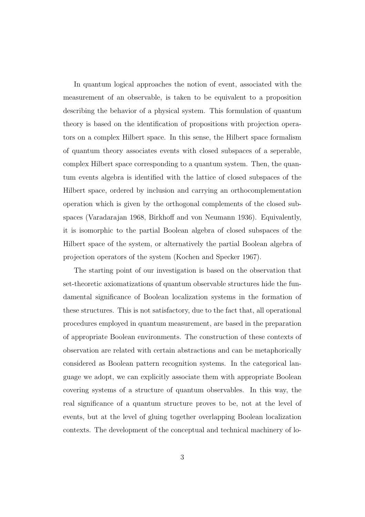In quantum logical approaches the notion of event, associated with the measurement of an observable, is taken to be equivalent to a proposition describing the behavior of a physical system. This formulation of quantum theory is based on the identification of propositions with projection operators on a complex Hilbert space. In this sense, the Hilbert space formalism of quantum theory associates events with closed subspaces of a seperable, complex Hilbert space corresponding to a quantum system. Then, the quantum events algebra is identified with the lattice of closed subspaces of the Hilbert space, ordered by inclusion and carrying an orthocomplementation operation which is given by the orthogonal complements of the closed subspaces (Varadarajan 1968, Birkhoff and von Neumann 1936). Equivalently, it is isomorphic to the partial Boolean algebra of closed subspaces of the Hilbert space of the system, or alternatively the partial Boolean algebra of projection operators of the system (Kochen and Specker 1967).

The starting point of our investigation is based on the observation that set-theoretic axiomatizations of quantum observable structures hide the fundamental significance of Boolean localization systems in the formation of these structures. This is not satisfactory, due to the fact that, all operational procedures employed in quantum measurement, are based in the preparation of appropriate Boolean environments. The construction of these contexts of observation are related with certain abstractions and can be metaphorically considered as Boolean pattern recognition systems. In the categorical language we adopt, we can explicitly associate them with appropriate Boolean covering systems of a structure of quantum observables. In this way, the real significance of a quantum structure proves to be, not at the level of events, but at the level of gluing together overlapping Boolean localization contexts. The development of the conceptual and technical machinery of lo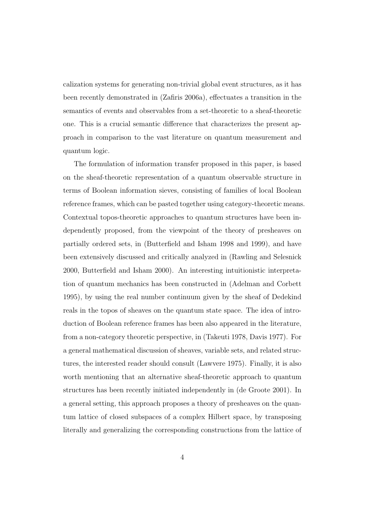calization systems for generating non-trivial global event structures, as it has been recently demonstrated in (Zafiris 2006a), effectuates a transition in the semantics of events and observables from a set-theoretic to a sheaf-theoretic one. This is a crucial semantic difference that characterizes the present approach in comparison to the vast literature on quantum measurement and quantum logic.

The formulation of information transfer proposed in this paper, is based on the sheaf-theoretic representation of a quantum observable structure in terms of Boolean information sieves, consisting of families of local Boolean reference frames, which can be pasted together using category-theoretic means. Contextual topos-theoretic approaches to quantum structures have been independently proposed, from the viewpoint of the theory of presheaves on partially ordered sets, in (Butterfield and Isham 1998 and 1999), and have been extensively discussed and critically analyzed in (Rawling and Selesnick 2000, Butterfield and Isham 2000). An interesting intuitionistic interpretation of quantum mechanics has been constructed in (Adelman and Corbett 1995), by using the real number continuum given by the sheaf of Dedekind reals in the topos of sheaves on the quantum state space. The idea of introduction of Boolean reference frames has been also appeared in the literature, from a non-category theoretic perspective, in (Takeuti 1978, Davis 1977). For a general mathematical discussion of sheaves, variable sets, and related structures, the interested reader should consult (Lawvere 1975). Finally, it is also worth mentioning that an alternative sheaf-theoretic approach to quantum structures has been recently initiated independently in (de Groote 2001). In a general setting, this approach proposes a theory of presheaves on the quantum lattice of closed subspaces of a complex Hilbert space, by transposing literally and generalizing the corresponding constructions from the lattice of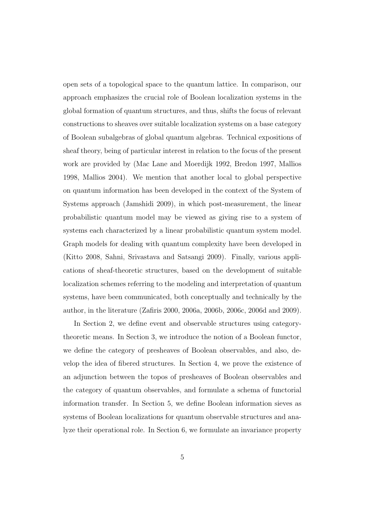open sets of a topological space to the quantum lattice. In comparison, our approach emphasizes the crucial role of Boolean localization systems in the global formation of quantum structures, and thus, shifts the focus of relevant constructions to sheaves over suitable localization systems on a base category of Boolean subalgebras of global quantum algebras. Technical expositions of sheaf theory, being of particular interest in relation to the focus of the present work are provided by (Mac Lane and Moerdijk 1992, Bredon 1997, Mallios 1998, Mallios 2004). We mention that another local to global perspective on quantum information has been developed in the context of the System of Systems approach (Jamshidi 2009), in which post-measurement, the linear probabilistic quantum model may be viewed as giving rise to a system of systems each characterized by a linear probabilistic quantum system model. Graph models for dealing with quantum complexity have been developed in (Kitto 2008, Sahni, Srivastava and Satsangi 2009). Finally, various applications of sheaf-theoretic structures, based on the development of suitable localization schemes referring to the modeling and interpretation of quantum systems, have been communicated, both conceptually and technically by the author, in the literature (Zafiris 2000, 2006a, 2006b, 2006c, 2006d and 2009).

In Section 2, we define event and observable structures using categorytheoretic means. In Section 3, we introduce the notion of a Boolean functor, we define the category of presheaves of Boolean observables, and also, develop the idea of fibered structures. In Section 4, we prove the existence of an adjunction between the topos of presheaves of Boolean observables and the category of quantum observables, and formulate a schema of functorial information transfer. In Section 5, we define Boolean information sieves as systems of Boolean localizations for quantum observable structures and analyze their operational role. In Section 6, we formulate an invariance property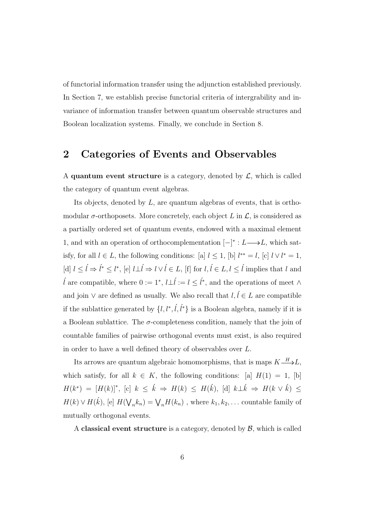of functorial information transfer using the adjunction established previously. In Section 7, we establish precise functorial criteria of intergrability and invariance of information transfer between quantum observable structures and Boolean localization systems. Finally, we conclude in Section 8.

#### 2 Categories of Events and Observables

A quantum event structure is a category, denoted by  $\mathcal{L}$ , which is called the category of quantum event algebras.

Its objects, denoted by L, are quantum algebras of events, that is orthomodular  $\sigma$ -orthoposets. More concretely, each object L in  $\mathcal{L}$ , is considered as a partially ordered set of quantum events, endowed with a maximal element 1, and with an operation of orthocomplementation  $[-]^* : L \longrightarrow L$ , which satisfy, for all  $l \in L$ , the following conditions: [a]  $l \leq 1$ , [b]  $l^{**} = l$ , [c]  $l \vee l^* = 1$ , [d]  $l \leq \hat{l} \Rightarrow \hat{l}^* \leq l^*$ , [e]  $l \perp \hat{l} \Rightarrow l \vee \hat{l} \in L$ , [f] for  $l, \hat{l} \in L, l \leq \hat{l}$  implies that  $l$  and  $\hat{l}$  are compatible, where 0 := 1<sup>\*</sup>,  $l \perp \hat{l} := l \leq \hat{l}^*$ , and the operations of meet ∧ and join  $\vee$  are defined as usually. We also recall that  $l, l \in L$  are compatible if the sublattice generated by  $\{l, l^*, \ell, \ell^*\}$  is a Boolean algebra, namely if it is a Boolean sublattice. The  $\sigma$ -completeness condition, namely that the join of countable families of pairwise orthogonal events must exist, is also required in order to have a well defined theory of observables over L.

Its arrows are quantum algebraic homomorphisms, that is maps  $K \xrightarrow{H} L$ , which satisfy, for all  $k \in K$ , the following conditions: [a]  $H(1) = 1$ , [b]  $H(k^*) = [H(k)]^*,$  [c]  $k \leq \hat{k} \Rightarrow H(k) \leq H(\hat{k}),$  [d]  $k \perp \hat{k} \Rightarrow H(k \vee \hat{k}) \leq$  $H(k) \vee H(\vec{k}),$  [e]  $H(\nabla)$  $h_n(k_n) = \bigvee_n H(k_n)$ , where  $k_1, k_2, \ldots$  countable family of mutually orthogonal events.

A classical event structure is a category, denoted by  $\mathcal{B}$ , which is called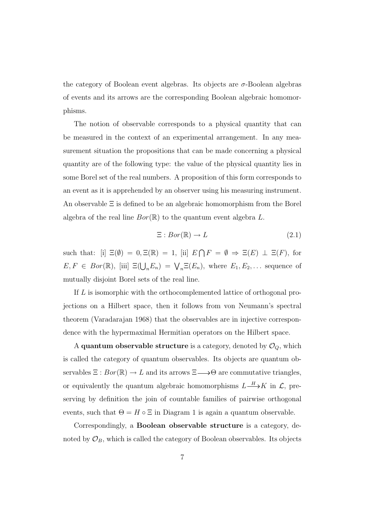the category of Boolean event algebras. Its objects are  $\sigma$ -Boolean algebras of events and its arrows are the corresponding Boolean algebraic homomorphisms.

The notion of observable corresponds to a physical quantity that can be measured in the context of an experimental arrangement. In any measurement situation the propositions that can be made concerning a physical quantity are of the following type: the value of the physical quantity lies in some Borel set of the real numbers. A proposition of this form corresponds to an event as it is apprehended by an observer using his measuring instrument. An observable Ξ is defined to be an algebraic homomorphism from the Borel algebra of the real line  $Bor(\mathbb{R})$  to the quantum event algebra L.

$$
\Xi: Bor(\mathbb{R}) \to L \tag{2.1}
$$

such that: [i]  $\Xi(\emptyset) = 0, \Xi(\mathbb{R}) = 1$ , [ii] E  $\overline{a}$  $F = \emptyset \Rightarrow \Xi(E) \perp \Xi(F)$ , for  $E, F \in Bor(\mathbb{R}),$  [iii]  $\Xi(\bigcup_n E_n) = \bigvee_n \Xi(E_n)$ , where  $E_1, E_2, \ldots$  sequence of mutually disjoint Borel sets of the real line.

If L is isomorphic with the orthocomplemented lattice of orthogonal projections on a Hilbert space, then it follows from von Neumann's spectral theorem (Varadarajan 1968) that the observables are in injective correspondence with the hypermaximal Hermitian operators on the Hilbert space.

A quantum observable structure is a category, denoted by  $\mathcal{O}_Q$ , which is called the category of quantum observables. Its objects are quantum observables  $\Xi : Bor(\mathbb{R}) \to L$  and its arrows  $\Xi \longrightarrow \Theta$  are commutative triangles, or equivalently the quantum algebraic homomorphisms  $L \longrightarrow K$  in  $\mathcal{L}$ , preserving by definition the join of countable families of pairwise orthogonal events, such that  $\Theta = H \circ \Xi$  in Diagram 1 is again a quantum observable.

Correspondingly, a Boolean observable structure is a category, denoted by  $\mathcal{O}_B$ , which is called the category of Boolean observables. Its objects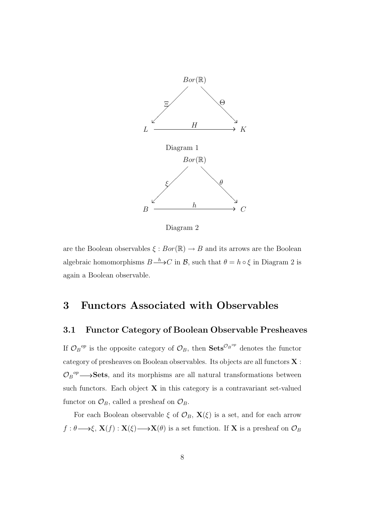

Diagram 2

are the Boolean observables  $\xi : Bor(\mathbb{R}) \to B$  and its arrows are the Boolean algebraic homomorphisms  $B \xrightarrow{h} C$  in B, such that  $\theta = h \circ \xi$  in Diagram 2 is again a Boolean observable.

#### 3 Functors Associated with Observables

#### 3.1 Functor Category of Boolean Observable Presheaves

If  $\mathcal{O}_B{}^{\mathit{op}}$  is the opposite category of  $\mathcal{O}_B$ , then  $\mathbf{Sets}^{\mathcal{O}_B{}^{\mathit{op}}}$  denotes the functor category of presheaves on Boolean observables. Its objects are all functors X :  $\mathcal{O}_B{}^{op} \longrightarrow$ **Sets**, and its morphisms are all natural transformations between such functors. Each object  $X$  in this category is a contravariant set-valued functor on  $\mathcal{O}_B$ , called a presheaf on  $\mathcal{O}_B$ .

For each Boolean observable  $\xi$  of  $\mathcal{O}_B$ ,  $\mathbf{X}(\xi)$  is a set, and for each arrow  $f: \theta \longrightarrow \xi$ ,  $\mathbf{X}(f): \mathbf{X}(\xi) \longrightarrow \mathbf{X}(\theta)$  is a set function. If X is a presheaf on  $\mathcal{O}_B$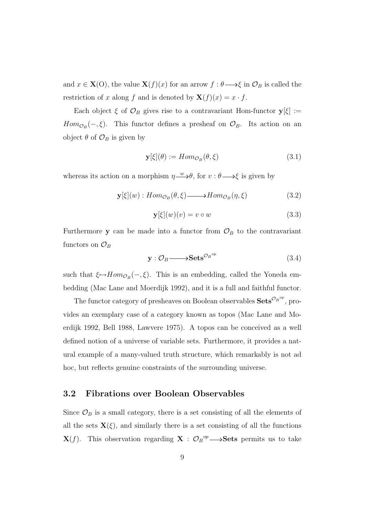and  $x \in \mathbf{X}(O)$ , the value  $\mathbf{X}(f)(x)$  for an arrow  $f : \theta \longrightarrow \xi$  in  $\mathcal{O}_B$  is called the restriction of x along f and is denoted by  $\mathbf{X}(f)(x) = x \cdot f$ .

Each object  $\xi$  of  $\mathcal{O}_B$  gives rise to a contravariant Hom-functor  $y[\xi] :=$  $Hom_{\mathcal{O}_B}(-,\xi)$ . This functor defines a presheaf on  $\mathcal{O}_B$ . Its action on an object  $\theta$  of  $\mathcal{O}_B$  is given by

$$
\mathbf{y}[\xi](\theta) := Hom_{\mathcal{O}_B}(\theta, \xi) \tag{3.1}
$$

whereas its action on a morphism  $\eta \rightarrow \theta$ , for  $v : \theta \rightarrow \xi$  is given by

$$
\mathbf{y}[\xi](w) : Hom_{\mathcal{O}_B}(\theta, \xi) \longrightarrow Hom_{\mathcal{O}_B}(\eta, \xi) \tag{3.2}
$$

$$
\mathbf{y}[\xi](w)(v) = v \circ w \tag{3.3}
$$

Furthermore y can be made into a functor from  $\mathcal{O}_B$  to the contravariant functors on  $\mathcal{O}_B$ 

$$
\mathbf{y}: \mathcal{O}_B \longrightarrow \mathbf{Sets}^{\mathcal{O}_B^{op}} \tag{3.4}
$$

such that  $\xi \mapsto Hom_{\mathcal{O}_B}(-,\xi)$ . This is an embedding, called the Yoneda embedding (Mac Lane and Moerdijk 1992), and it is a full and faithful functor.

The functor category of presheaves on Boolean observables  $\textbf{Sets}^{\mathcal{O}_B^{op}}$ , provides an exemplary case of a category known as topos (Mac Lane and Moerdijk 1992, Bell 1988, Lawvere 1975). A topos can be conceived as a well defined notion of a universe of variable sets. Furthermore, it provides a natural example of a many-valued truth structure, which remarkably is not ad hoc, but reflects genuine constraints of the surrounding universe.

#### 3.2 Fibrations over Boolean Observables

Since  $\mathcal{O}_B$  is a small category, there is a set consisting of all the elements of all the sets  $\mathbf{X}(\xi)$ , and similarly there is a set consisting of all the functions  $\mathbf{X}(f)$ . This observation regarding  $\mathbf{X} : \mathcal{O}_B{}^{op} \longrightarrow$  Sets permits us to take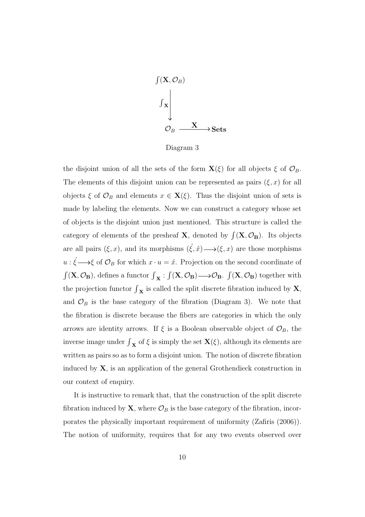

Diagram 3

the disjoint union of all the sets of the form  $\mathbf{X}(\xi)$  for all objects  $\xi$  of  $\mathcal{O}_B$ . The elements of this disjoint union can be represented as pairs  $(\xi, x)$  for all objects  $\xi$  of  $\mathcal{O}_B$  and elements  $x \in \mathbf{X}(\xi)$ . Thus the disjoint union of sets is made by labeling the elements. Now we can construct a category whose set of objects is the disjoint union just mentioned. This structure is called the category of elements of the presheaf **X**, denoted by  $\int (\mathbf{X}, \mathcal{O}_\mathbf{B})$ . Its objects are all pairs  $(\xi, x)$ , and its morphisms  $(\xi, \hat{x}) \longrightarrow (\xi, x)$  are those morphisms  $u: \xi \longrightarrow \xi$  of  $\mathcal{O}_B$  for which  $x \cdot u = \dot{x}$ . Projection on the second coordinate of  $\int (\mathbf{X}, \mathcal{O}_\mathbf{B})$  defines a functor  $\int_{\mathbf{X}}$  : R  $(X, \mathcal{O}_B) \longrightarrow \mathcal{O}_B.$ R  $(X, \mathcal{O}_B)$  together with the projection functor  $\int_{\mathbf{X}}$  is called the split discrete fibration induced by **X**, and  $\mathcal{O}_B$  is the base category of the fibration (Diagram 3). We note that the fibration is discrete because the fibers are categories in which the only arrows are identity arrows. If  $\xi$  is a Boolean observable object of  $\mathcal{O}_B$ , the inverse image under  $\int_{\mathbf{X}}$  of  $\xi$  is simply the set  $\mathbf{X}(\xi)$ , although its elements are written as pairs so as to form a disjoint union. The notion of discrete fibration induced by  $X$ , is an application of the general Grothendieck construction in our context of enquiry.

It is instructive to remark that, that the construction of the split discrete fibration induced by **X**, where  $\mathcal{O}_B$  is the base category of the fibration, incorporates the physically important requirement of uniformity (Zafiris (2006)). The notion of uniformity, requires that for any two events observed over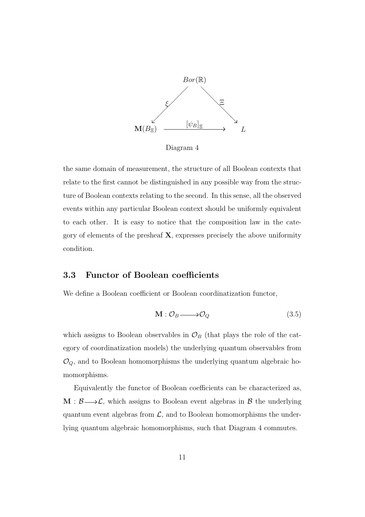

Diagram 4

the same domain of measurement, the structure of all Boolean contexts that relate to the first cannot be distinguished in any possible way from the structure of Boolean contexts relating to the second. In this sense, all the observed events within any particular Boolean context should be uniformly equivalent to each other. It is easy to notice that the composition law in the category of elements of the presheaf  $X$ , expresses precisely the above uniformity condition.

#### 3.3 Functor of Boolean coefficients

We define a Boolean coefficient or Boolean coordinatization functor,

$$
\mathbf{M} : \mathcal{O}_B \longrightarrow \mathcal{O}_Q \tag{3.5}
$$

which assigns to Boolean observables in  $\mathcal{O}_B$  (that plays the role of the category of coordinatization models) the underlying quantum observables from  $\mathcal{O}_Q$ , and to Boolean homomorphisms the underlying quantum algebraic homomorphisms.

Equivalently the functor of Boolean coefficients can be characterized as,  $M : \mathcal{B} \longrightarrow \mathcal{L}$ , which assigns to Boolean event algebras in  $\mathcal{B}$  the underlying quantum event algebras from  $\mathcal{L}$ , and to Boolean homomorphisms the underlying quantum algebraic homomorphisms, such that Diagram 4 commutes.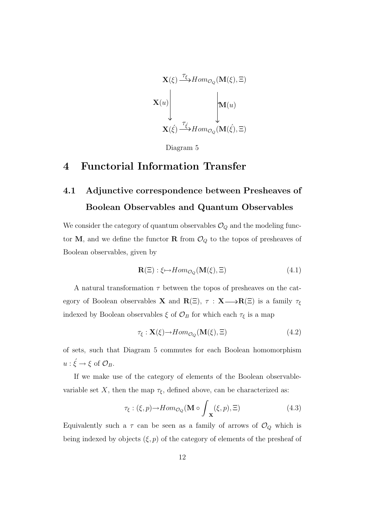$$
\mathbf{X}(\xi) \xrightarrow{\tau_{\xi}} Hom_{\mathcal{O}_Q}(\mathbf{M}(\xi), \Xi)
$$
\n
$$
\mathbf{X}(u) \qquad \qquad \downarrow \mathbf{M}(u)
$$
\n
$$
\mathbf{X}(\xi) \xrightarrow{\tau_{\xi}} Hom_{\mathcal{O}_Q}(\mathbf{M}(\xi), \Xi)
$$

Diagram 5

### 4 Functorial Information Transfer

## 4.1 Adjunctive correspondence between Presheaves of Boolean Observables and Quantum Observables

We consider the category of quantum observables  $\mathcal{O}_Q$  and the modeling functor M, and we define the functor R from  $\mathcal{O}_Q$  to the topos of presheaves of Boolean observables, given by

$$
\mathbf{R}(\Xi): \xi \mapsto Hom_{\mathcal{O}_Q}(\mathbf{M}(\xi), \Xi) \tag{4.1}
$$

A natural transformation  $\tau$  between the topos of presheaves on the category of Boolean observables **X** and  $\mathbf{R}(\Xi)$ ,  $\tau$  : **X**  $\longrightarrow \mathbf{R}(\Xi)$  is a family  $\tau_{\xi}$ indexed by Boolean observables  $\xi$  of<br/>  $\mathcal{O}_B$  for which each  $\tau_\xi$  is a map

$$
\tau_{\xi}: \mathbf{X}(\xi) \to Hom_{\mathcal{O}_Q}(\mathbf{M}(\xi), \Xi) \tag{4.2}
$$

of sets, such that Diagram 5 commutes for each Boolean homomorphism  $u: \xi \to \xi$  of  $\mathcal{O}_B$ .

If we make use of the category of elements of the Boolean observablevariable set X, then the map  $\tau_{\xi}$ , defined above, can be characterized as:

$$
\tau_{\xi} : (\xi, p) \to Hom_{\mathcal{O}_Q}(\mathbf{M} \circ \int_{\mathbf{X}} (\xi, p), \Xi) \tag{4.3}
$$

Equivalently such a  $\tau$  can be seen as a family of arrows of  $\mathcal{O}_Q$  which is being indexed by objects  $(\xi, p)$  of the category of elements of the presheaf of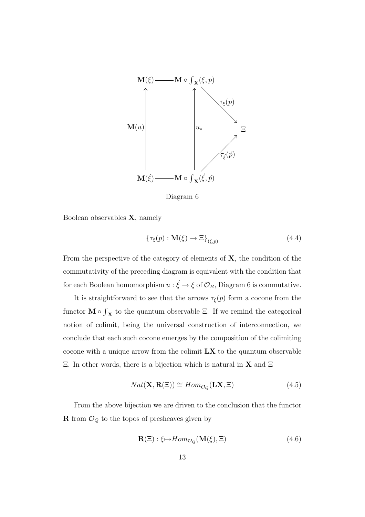

Diagram 6

Boolean observables X, namely

$$
\{\tau_{\xi}(p) : \mathbf{M}(\xi) \to \Xi\}_{(\xi, p)}\tag{4.4}
$$

From the perspective of the category of elements of  $X$ , the condition of the commutativity of the preceding diagram is equivalent with the condition that for each Boolean homomorphism  $u : \xi \to \xi$  of  $\mathcal{O}_B$ , Diagram 6 is commutative.

It is straightforward to see that the arrows  $\tau_{\xi}(p)$  form a cocone from the functor  $M \circ$  $\overline{\phantom{a}}$  $x$  to the quantum observable  $\Xi$ . If we remind the categorical notion of colimit, being the universal construction of interconnection, we conclude that each such cocone emerges by the composition of the colimiting cocone with a unique arrow from the colimit  $\mathbf{L} \mathbf{X}$  to the quantum observable Ξ. In other words, there is a bijection which is natural in X and Ξ

$$
Nat(\mathbf{X}, \mathbf{R}(\Xi)) \cong Hom_{\mathcal{O}_Q}(\mathbf{L}\mathbf{X}, \Xi)
$$
\n(4.5)

From the above bijection we are driven to the conclusion that the functor **R** from  $\mathcal{O}_Q$  to the topos of presheaves given by

$$
\mathbf{R}(\Xi) : \xi \mapsto Hom_{\mathcal{O}_Q}(\mathbf{M}(\xi), \Xi) \tag{4.6}
$$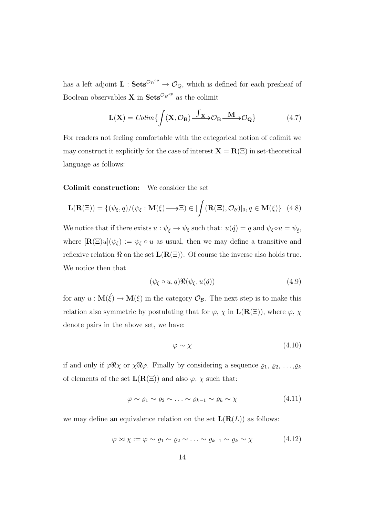has a left adjoint  $\mathbf{L}$  :  $\mathbf{Sets}^{\mathcal{O}_B^{op}} \to \mathcal{O}_Q$ , which is defined for each presheaf of Boolean observables **X** in  $\textbf{Sets}^{\mathcal{O}_B^{op}}$  as the colimit

$$
\mathbf{L}(\mathbf{X}) = \text{Colim}\left\{ \int (\mathbf{X}, \mathcal{O}_{\mathbf{B}}) \frac{\int \mathbf{x} \cdot \mathcal{O}_{\mathbf{B}} \cdot \mathbf{M}}{\mathcal{O}_{\mathbf{B}}} \mathcal{O}_{\mathbf{Q}} \right\}
$$
(4.7)

For readers not feeling comfortable with the categorical notion of colimit we may construct it explicitly for the case of interest  $X = R(E)$  in set-theoretical language as follows:

Colimit construction: We consider the set

$$
\mathbf{L}(\mathbf{R}(\Xi)) = \{ (\psi_{\xi}, q) / (\psi_{\xi} : \mathbf{M}(\xi) \longrightarrow \Xi) \in [\int (\mathbf{R}(\Xi), \mathcal{O}_{\mathcal{B}})]_0, q \in \mathbf{M}(\xi) \} \quad (4.8)
$$

We notice that if there exists  $u : \psi_{\xi} \to \psi_{\xi}$  such that:  $u(\check{q}) = q$  and  $\psi_{\xi} \circ u = \psi_{\xi}$ , where  $[\mathbf{R}(\Xi)u](\psi_{\xi}) := \psi_{\xi} \circ u$  as usual, then we may define a transitive and reflexive relation  $\Re$  on the set  $L(R(\Xi))$ . Of course the inverse also holds true. We notice then that

$$
(\psi_{\xi} \circ u, q) \Re(\psi_{\xi}, u(\acute{q})) \tag{4.9}
$$

for any  $u: \mathbf{M}(\xi) \to \mathbf{M}(\xi)$  in the category  $\mathcal{O}_{\mathcal{B}}$ . The next step is to make this relation also symmetric by postulating that for  $\varphi$ ,  $\chi$  in  $\mathbf{L}(\mathbf{R}(\Xi))$ , where  $\varphi$ ,  $\chi$ denote pairs in the above set, we have:

$$
\varphi \sim \chi \tag{4.10}
$$

if and only if  $\varphi \Re \chi$  or  $\chi \Re \varphi$ . Finally by considering a sequence  $\varrho_1, \varrho_2, \ldots, \varrho_k$ of elements of the set  $\mathbf{L}(\mathbf{R}(\Xi))$  and also  $\varphi$ ,  $\chi$  such that:

$$
\varphi \sim \varrho_1 \sim \varrho_2 \sim \ldots \sim \varrho_{k-1} \sim \varrho_k \sim \chi \tag{4.11}
$$

we may define an equivalence relation on the set  $\mathbf{L}(\mathbf{R}(L))$  as follows:

$$
\varphi \bowtie \chi := \varphi \sim \varrho_1 \sim \varrho_2 \sim \ldots \sim \varrho_{k-1} \sim \varrho_k \sim \chi \tag{4.12}
$$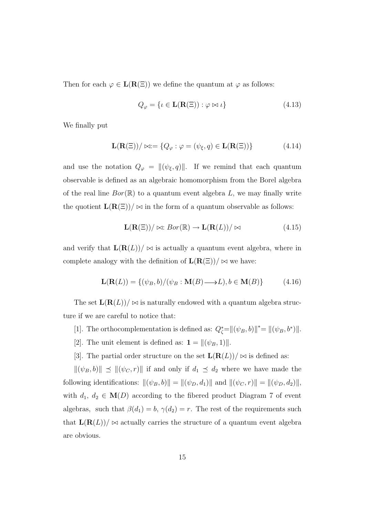Then for each  $\varphi \in L(R(\Xi))$  we define the quantum at  $\varphi$  as follows:

$$
Q_{\varphi} = \{ \iota \in \mathbf{L}(\mathbf{R}(\Xi)) : \varphi \bowtie \iota \}
$$
\n(4.13)

We finally put

$$
\mathbf{L}(\mathbf{R}(\Xi))/\bowtie := \{Q_{\varphi} : \varphi = (\psi_{\xi}, q) \in \mathbf{L}(\mathbf{R}(\Xi))\}\tag{4.14}
$$

and use the notation  $Q_{\varphi} = ||(\psi_{\xi}, q)||$ . If we remind that each quantum observable is defined as an algebraic homomorphism from the Borel algebra of the real line  $Bor(\mathbb{R})$  to a quantum event algebra L, we may finally write the quotient  $\mathbf{L}(\mathbf{R}(\Xi))/\bowtie$  in the form of a quantum observable as follows:

$$
\mathbf{L}(\mathbf{R}(\Xi))/\bowtie: Bor(\mathbb{R}) \to \mathbf{L}(\mathbf{R}(L))/\bowtie
$$
\n(4.15)

and verify that  $\mathbf{L}(\mathbf{R}(L))/\bowtie$  is actually a quantum event algebra, where in complete analogy with the definition of  $\mathbf{L}(\mathbf{R}(\Xi))/\bowtie$  we have:

$$
\mathbf{L}(\mathbf{R}(L)) = \{ (\psi_B, b) / (\psi_B : \mathbf{M}(B) \longrightarrow L), b \in \mathbf{M}(B) \}
$$
(4.16)

The set  $\mathbf{L}(\mathbf{R}(L))/\infty$  is naturally endowed with a quantum algebra structure if we are careful to notice that:

- [1]. The orthocomplementation is defined as:  $Q_{\zeta}^* = ||(\psi_B, b)||^* = ||(\psi_B, b^*)||$ .
- [2]. The unit element is defined as:  $\mathbf{1} = ||(\psi_B, 1)||$ .
- [3]. The partial order structure on the set  $\mathbf{L}(\mathbf{R}(L))/\bowtie$  is defined as:

 $\|(\psi_B, b)\| \preceq \|(\psi_C, r)\|$  if and only if  $d_1 \preceq d_2$  where we have made the following identifications:  $\|(\psi_B, b)\| = \|(\psi_D, d_1)\|$  and  $\|(\psi_C, r)\| = \|(\psi_D, d_2)\|$ , with  $d_1, d_2 \in \mathbf{M}(D)$  according to the fibered product Diagram 7 of event algebras, such that  $\beta(d_1) = b$ ,  $\gamma(d_2) = r$ . The rest of the requirements such that  $\mathbf{L}(\mathbf{R}(L))/\infty$  actually carries the structure of a quantum event algebra are obvious.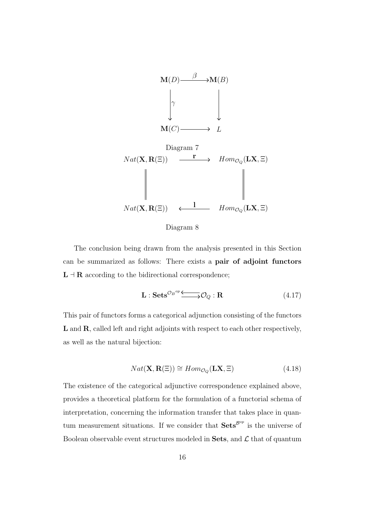

Diagram 8

The conclusion being drawn from the analysis presented in this Section can be summarized as follows: There exists a pair of adjoint functors  $L \dashv R$  according to the bidirectional correspondence;

$$
\mathbf{L}: \mathbf{Sets}^{\mathcal{O}_B^{op}} \longrightarrow \mathcal{O}_Q: \mathbf{R} \tag{4.17}
$$

This pair of functors forms a categorical adjunction consisting of the functors L and R, called left and right adjoints with respect to each other respectively, as well as the natural bijection:

$$
Nat(\mathbf{X}, \mathbf{R}(\Xi)) \cong Hom_{\mathcal{O}_Q}(\mathbf{L}\mathbf{X}, \Xi)
$$
\n(4.18)

The existence of the categorical adjunctive correspondence explained above, provides a theoretical platform for the formulation of a functorial schema of interpretation, concerning the information transfer that takes place in quantum measurement situations. If we consider that  $\textbf{Sets}^{\mathcal{B}^{op}}$  is the universe of Boolean observable event structures modeled in Sets, and  $\mathcal L$  that of quantum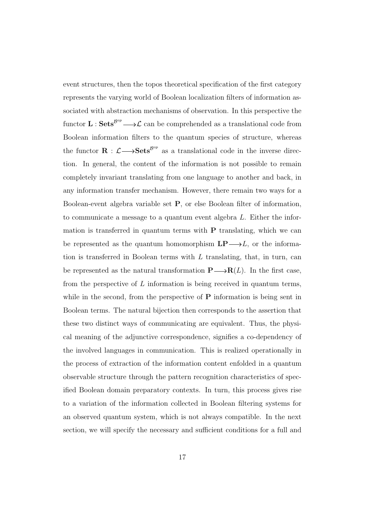event structures, then the topos theoretical specification of the first category represents the varying world of Boolean localization filters of information associated with abstraction mechanisms of observation. In this perspective the functor  $\mathbf{L}$ :  $\mathbf{Sets}^{\mathcal{B}^{op}} \longrightarrow \mathcal{L}$  can be comprehended as a translational code from Boolean information filters to the quantum species of structure, whereas the functor  $\mathbf{R}: \mathcal{L} \longrightarrow \mathbf{Sets}^{\mathcal{B}^{op}}$  as a translational code in the inverse direction. In general, the content of the information is not possible to remain completely invariant translating from one language to another and back, in any information transfer mechanism. However, there remain two ways for a Boolean-event algebra variable set P, or else Boolean filter of information, to communicate a message to a quantum event algebra L. Either the information is transferred in quantum terms with  $P$  translating, which we can be represented as the quantum homomorphism  $\mathbf{LP}{\longrightarrow}L$ , or the information is transferred in Boolean terms with  $L$  translating, that, in turn, can be represented as the natural transformation  $P \longrightarrow R(L)$ . In the first case, from the perspective of  $L$  information is being received in quantum terms, while in the second, from the perspective of  $P$  information is being sent in Boolean terms. The natural bijection then corresponds to the assertion that these two distinct ways of communicating are equivalent. Thus, the physical meaning of the adjunctive correspondence, signifies a co-dependency of the involved languages in communication. This is realized operationally in the process of extraction of the information content enfolded in a quantum observable structure through the pattern recognition characteristics of specified Boolean domain preparatory contexts. In turn, this process gives rise to a variation of the information collected in Boolean filtering systems for an observed quantum system, which is not always compatible. In the next section, we will specify the necessary and sufficient conditions for a full and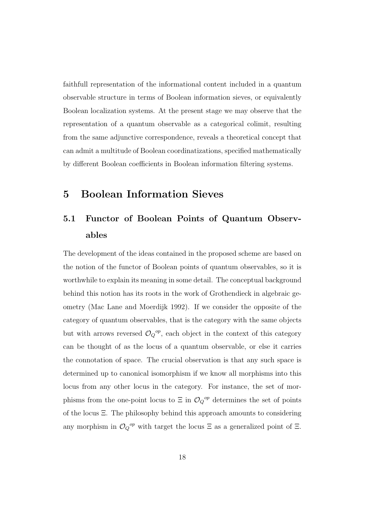faithfull representation of the informational content included in a quantum observable structure in terms of Boolean information sieves, or equivalently Boolean localization systems. At the present stage we may observe that the representation of a quantum observable as a categorical colimit, resulting from the same adjunctive correspondence, reveals a theoretical concept that can admit a multitude of Boolean coordinatizations, specified mathematically by different Boolean coefficients in Boolean information filtering systems.

#### 5 Boolean Information Sieves

# 5.1 Functor of Boolean Points of Quantum Observables

The development of the ideas contained in the proposed scheme are based on the notion of the functor of Boolean points of quantum observables, so it is worthwhile to explain its meaning in some detail. The conceptual background behind this notion has its roots in the work of Grothendieck in algebraic geometry (Mac Lane and Moerdijk 1992). If we consider the opposite of the category of quantum observables, that is the category with the same objects but with arrows reversed  $\mathcal{O}_Q^{\,op}$ , each object in the context of this category can be thought of as the locus of a quantum observable, or else it carries the connotation of space. The crucial observation is that any such space is determined up to canonical isomorphism if we know all morphisms into this locus from any other locus in the category. For instance, the set of morphisms from the one-point locus to  $\Xi$  in  $\mathcal{O}_Q^{\text{op}}$  determines the set of points of the locus Ξ. The philosophy behind this approach amounts to considering any morphism in  $\mathcal{O}_Q^{\, op}$  with target the locus  $\Xi$  as a generalized point of  $\Xi$ .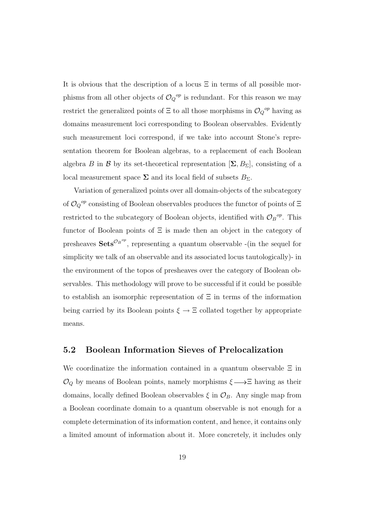It is obvious that the description of a locus  $\Xi$  in terms of all possible morphisms from all other objects of  $\mathcal{O}_Q{}^{op}$  is redundant. For this reason we may restrict the generalized points of  $\Xi$  to all those morphisms in  $\mathcal{O}_Q{}^{op}$  having as domains measurement loci corresponding to Boolean observables. Evidently such measurement loci correspond, if we take into account Stone's representation theorem for Boolean algebras, to a replacement of each Boolean algebra B in B by its set-theoretical representation  $[\Sigma, B_{\Sigma}]$ , consisting of a local measurement space  $\Sigma$  and its local field of subsets  $B_{\Sigma}$ .

Variation of generalized points over all domain-objects of the subcategory of  $\mathcal{O}_Q^{\text{op}}$  consisting of Boolean observables produces the functor of points of  $\Xi$ restricted to the subcategory of Boolean objects, identified with  $\mathcal{O}_B{}^{op}$ . This functor of Boolean points of  $\Xi$  is made then an object in the category of presheaves  $\textbf{Sets}^{\mathcal{O}_B^{op}}$ , representing a quantum observable -(in the sequel for simplicity we talk of an observable and its associated locus tautologically)- in the environment of the topos of presheaves over the category of Boolean observables. This methodology will prove to be successful if it could be possible to establish an isomorphic representation of  $\Xi$  in terms of the information being carried by its Boolean points  $\xi \to \Xi$  collated together by appropriate means.

#### 5.2 Boolean Information Sieves of Prelocalization

We coordinatize the information contained in a quantum observable  $\Xi$  in  $\mathcal{O}_Q$  by means of Boolean points, namely morphisms  $\xi \longrightarrow \Xi$  having as their domains, locally defined Boolean observables  $\xi$  in  $\mathcal{O}_B$ . Any single map from a Boolean coordinate domain to a quantum observable is not enough for a complete determination of its information content, and hence, it contains only a limited amount of information about it. More concretely, it includes only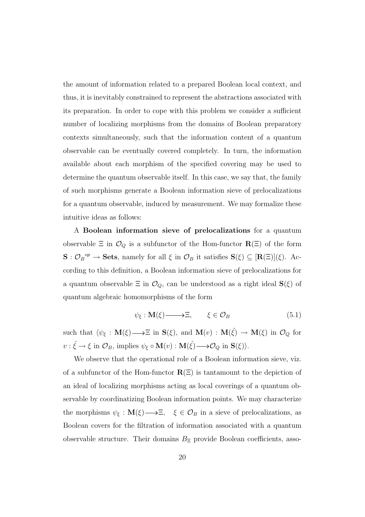the amount of information related to a prepared Boolean local context, and thus, it is inevitably constrained to represent the abstractions associated with its preparation. In order to cope with this problem we consider a sufficient number of localizing morphisms from the domains of Boolean preparatory contexts simultaneously, such that the information content of a quantum observable can be eventually covered completely. In turn, the information available about each morphism of the specified covering may be used to determine the quantum observable itself. In this case, we say that, the family of such morphisms generate a Boolean information sieve of prelocalizations for a quantum observable, induced by measurement. We may formalize these intuitive ideas as follows:

A Boolean information sieve of prelocalizations for a quantum observable  $\Xi$  in  $\mathcal{O}_Q$  is a subfunctor of the Hom-functor  $\mathbf{R}(\Xi)$  of the form  $\mathbf{S}: \mathcal{O}_B{}^{op} \to \mathbf{Sets}$ , namely for all  $\xi$  in  $\mathcal{O}_B$  it satisfies  $\mathbf{S}(\xi) \subseteq [\mathbf{R}(\Xi)](\xi)$ . According to this definition, a Boolean information sieve of prelocalizations for a quantum observable  $\Xi$  in  $\mathcal{O}_Q$ , can be understood as a right ideal  $\mathbf{S}(\xi)$  of quantum algebraic homomorphisms of the form

$$
\psi_{\xi} : \mathbf{M}(\xi) \longrightarrow \Xi, \qquad \xi \in \mathcal{O}_B \tag{5.1}
$$

such that  $\langle \psi_{\xi} : \mathbf{M}(\xi) \longrightarrow \Xi$  in  $\mathbf{S}(\xi)$ , and  $\mathbf{M}(v) : \mathbf{M}(\xi) \longrightarrow \mathbf{M}(\xi)$  in  $\mathcal{O}_Q$  for  $v : \xi \to \xi \text{ in } \mathcal{O}_B$ , implies  $\psi_{\xi} \circ \mathbf{M}(v) : \mathbf{M}(\xi) \longrightarrow \mathcal{O}_Q \text{ in } \mathbf{S}(\xi)$ .

We observe that the operational role of a Boolean information sieve, viz. of a subfunctor of the Hom-functor  $\mathbf{R}(\Xi)$  is tantamount to the depiction of an ideal of localizing morphisms acting as local coverings of a quantum observable by coordinatizing Boolean information points. We may characterize the morphisms  $\psi_{\xi} : M(\xi) \longrightarrow \Xi$ ,  $\xi \in \mathcal{O}_B$  in a sieve of prelocalizations, as Boolean covers for the filtration of information associated with a quantum observable structure. Their domains  $B_{\Xi}$  provide Boolean coefficients, asso-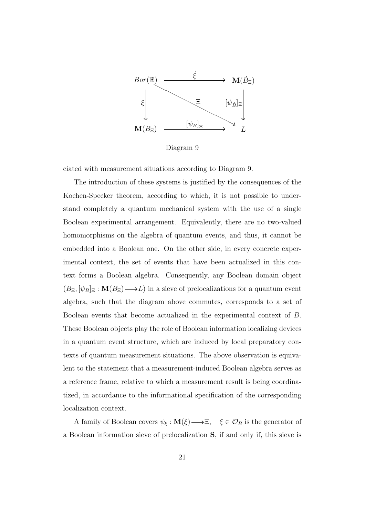

Diagram 9

ciated with measurement situations according to Diagram 9.

The introduction of these systems is justified by the consequences of the Kochen-Specker theorem, according to which, it is not possible to understand completely a quantum mechanical system with the use of a single Boolean experimental arrangement. Equivalently, there are no two-valued homomorphisms on the algebra of quantum events, and thus, it cannot be embedded into a Boolean one. On the other side, in every concrete experimental context, the set of events that have been actualized in this context forms a Boolean algebra. Consequently, any Boolean domain object  $(B_{\Xi}, [\psi_B]_{\Xi} : M(B_{\Xi}) \longrightarrow L$  in a sieve of prelocalizations for a quantum event algebra, such that the diagram above commutes, corresponds to a set of Boolean events that become actualized in the experimental context of B. These Boolean objects play the role of Boolean information localizing devices in a quantum event structure, which are induced by local preparatory contexts of quantum measurement situations. The above observation is equivalent to the statement that a measurement-induced Boolean algebra serves as a reference frame, relative to which a measurement result is being coordinatized, in accordance to the informational specification of the corresponding localization context.

A family of Boolean covers  $\psi_{\xi} : M(\xi) \longrightarrow \Xi$ ,  $\xi \in \mathcal{O}_B$  is the generator of a Boolean information sieve of prelocalization S, if and only if, this sieve is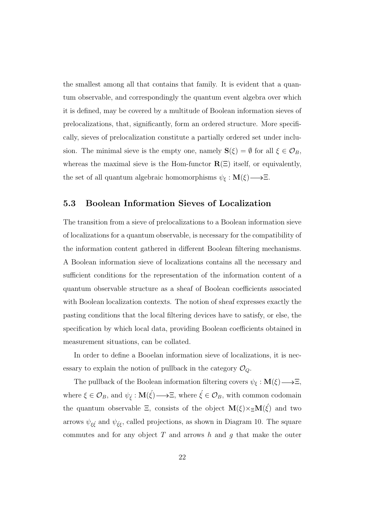the smallest among all that contains that family. It is evident that a quantum observable, and correspondingly the quantum event algebra over which it is defined, may be covered by a multitude of Boolean information sieves of prelocalizations, that, significantly, form an ordered structure. More specifically, sieves of prelocalization constitute a partially ordered set under inclusion. The minimal sieve is the empty one, namely  $\mathbf{S}(\xi) = \emptyset$  for all  $\xi \in \mathcal{O}_B$ , whereas the maximal sieve is the Hom-functor  $\mathbf{R}(\Xi)$  itself, or equivalently, the set of all quantum algebraic homomorphisms  $\psi_{\xi} : M(\xi) \longrightarrow \Xi$ .

#### 5.3 Boolean Information Sieves of Localization

The transition from a sieve of prelocalizations to a Boolean information sieve of localizations for a quantum observable, is necessary for the compatibility of the information content gathered in different Boolean filtering mechanisms. A Boolean information sieve of localizations contains all the necessary and sufficient conditions for the representation of the information content of a quantum observable structure as a sheaf of Boolean coefficients associated with Boolean localization contexts. The notion of sheaf expresses exactly the pasting conditions that the local filtering devices have to satisfy, or else, the specification by which local data, providing Boolean coefficients obtained in measurement situations, can be collated.

In order to define a Booelan information sieve of localizations, it is necessary to explain the notion of pullback in the category  $\mathcal{O}_Q$ .

The pullback of the Boolean information filtering covers  $\psi_{\xi} : M(\xi) \longrightarrow \Xi$ , where  $\xi \in \mathcal{O}_B$ , and  $\psi_{\xi}: \mathbf{M}(\xi) \longrightarrow \Xi$ , where  $\xi \in \mathcal{O}_B$ , with common codomain the quantum observable  $\Xi$ , consists of the object  $\mathbf{M}(\xi) \times_{\Xi} \mathbf{M}(\xi)$  and two arrows  $\psi_{\xi\xi}$  and  $\psi_{\xi\xi}$ , called projections, as shown in Diagram 10. The square commutes and for any object  $T$  and arrows  $h$  and  $q$  that make the outer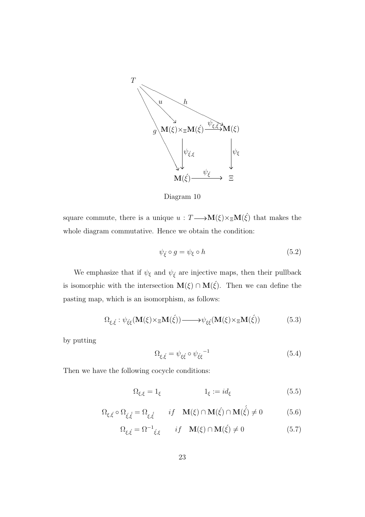

Diagram 10

square commute, there is a unique  $u : T \longrightarrow M(\xi) \times_{\Xi} M(\xi)$  that makes the whole diagram commutative. Hence we obtain the condition:

$$
\psi_{\xi} \circ g = \psi_{\xi} \circ h \tag{5.2}
$$

We emphasize that if  $\psi_{\xi}$  and  $\psi_{\xi}$  are injective maps, then their pullback is isomorphic with the intersection  $\mathbf{M}(\xi) \cap \mathbf{M}(\xi)$ . Then we can define the pasting map, which is an isomorphism, as follows:

$$
\Omega_{\xi,\xi}: \psi_{\xi\xi}(\mathbf{M}(\xi) \times_{\Xi} \mathbf{M}(\xi)) \longrightarrow \psi_{\xi\xi}(\mathbf{M}(\xi) \times_{\Xi} \mathbf{M}(\xi))
$$
\n(5.3)

by putting

$$
\Omega_{\xi,\xi} = \psi_{\xi\xi} \circ \psi_{\xi\xi}^{-1} \tag{5.4}
$$

Then we have the following cocycle conditions:

$$
\Omega_{\xi,\xi} = 1_{\xi} \qquad \qquad 1_{\xi} := id_{\xi} \qquad (5.5)
$$

$$
\Omega_{\xi,\xi} \circ \Omega_{\xi,\dot{\xi}} = \Omega_{\xi,\dot{\xi}} \qquad if \quad \mathbf{M}(\xi) \cap \mathbf{M}(\dot{\xi}) \cap \mathbf{M}(\dot{\xi}) \neq 0 \tag{5.6}
$$

$$
\Omega_{\xi,\xi} = \Omega^{-1}_{\xi,\xi} \qquad if \quad \mathbf{M}(\xi) \cap \mathbf{M}(\xi) \neq 0 \tag{5.7}
$$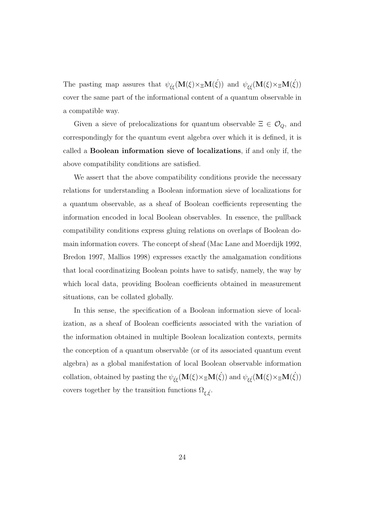The pasting map assures that  $\psi_{\xi\xi}(\mathbf{M}(\xi)\times_{\Xi}\mathbf{M}(\xi))$  and  $\psi_{\xi\xi}(\mathbf{M}(\xi)\times_{\Xi}\mathbf{M}(\xi))$ cover the same part of the informational content of a quantum observable in a compatible way.

Given a sieve of prelocalizations for quantum observable  $\Xi \in \mathcal{O}_Q$ , and correspondingly for the quantum event algebra over which it is defined, it is called a Boolean information sieve of localizations, if and only if, the above compatibility conditions are satisfied.

We assert that the above compatibility conditions provide the necessary relations for understanding a Boolean information sieve of localizations for a quantum observable, as a sheaf of Boolean coefficients representing the information encoded in local Boolean observables. In essence, the pullback compatibility conditions express gluing relations on overlaps of Boolean domain information covers. The concept of sheaf (Mac Lane and Moerdijk 1992, Bredon 1997, Mallios 1998) expresses exactly the amalgamation conditions that local coordinatizing Boolean points have to satisfy, namely, the way by which local data, providing Boolean coefficients obtained in measurement situations, can be collated globally.

In this sense, the specification of a Boolean information sieve of localization, as a sheaf of Boolean coefficients associated with the variation of the information obtained in multiple Boolean localization contexts, permits the conception of a quantum observable (or of its associated quantum event algebra) as a global manifestation of local Boolean observable information collation, obtained by pasting the  $\psi_{\xi\xi}(\mathbf{M}(\xi)\times_{\Xi}\mathbf{M}(\xi))$  and  $\psi_{\xi\xi}(\mathbf{M}(\xi)\times_{\Xi}\mathbf{M}(\xi))$ covers together by the transition functions  $\Omega_{\xi,\xi}$ .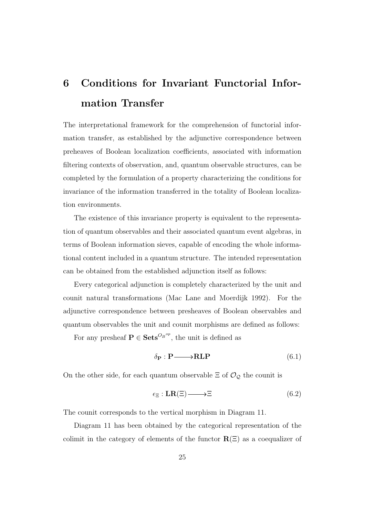# 6 Conditions for Invariant Functorial Information Transfer

The interpretational framework for the comprehension of functorial information transfer, as established by the adjunctive correspondence between preheaves of Boolean localization coefficients, associated with information filtering contexts of observation, and, quantum observable structures, can be completed by the formulation of a property characterizing the conditions for invariance of the information transferred in the totality of Boolean localization environments.

The existence of this invariance property is equivalent to the representation of quantum observables and their associated quantum event algebras, in terms of Boolean information sieves, capable of encoding the whole informational content included in a quantum structure. The intended representation can be obtained from the established adjunction itself as follows:

Every categorical adjunction is completely characterized by the unit and counit natural transformations (Mac Lane and Moerdijk 1992). For the adjunctive correspondence between presheaves of Boolean observables and quantum observables the unit and counit morphisms are defined as follows:

For any presheaf  $P \in \textbf{Sets}^{\mathcal{O}_B^{op}}$ , the unit is defined as

$$
\delta_{\mathbf{P}} : \mathbf{P} \longrightarrow \mathbf{RLP} \tag{6.1}
$$

On the other side, for each quantum observable  $\Xi$  of  $\mathcal{O}_{\mathcal{Q}}$  the counit is

$$
\epsilon_{\Xi}: \mathbf{LR}(\Xi) \longrightarrow \Xi \tag{6.2}
$$

The counit corresponds to the vertical morphism in Diagram 11.

Diagram 11 has been obtained by the categorical representation of the colimit in the category of elements of the functor  $\mathbf{R}(\Xi)$  as a coequalizer of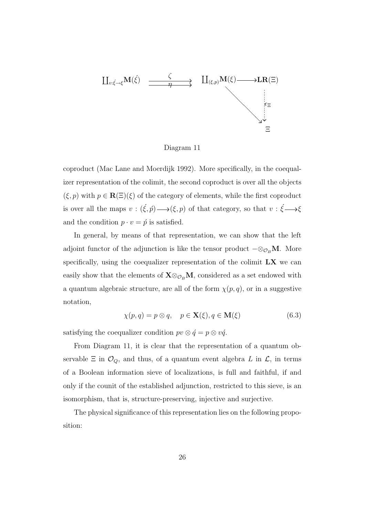

Diagram 11

coproduct (Mac Lane and Moerdijk 1992). More specifically, in the coequalizer representation of the colimit, the second coproduct is over all the objects  $(\xi, p)$  with  $p \in \mathbf{R}(\Xi)(\xi)$  of the category of elements, while the first coproduct is over all the maps  $v : (\xi, \hat{p}) \longrightarrow (\xi, p)$  of that category, so that  $v : \xi \longrightarrow \xi$ and the condition  $p \cdot v = \hat{p}$  is satisfied.

In general, by means of that representation, we can show that the left adjoint functor of the adjunction is like the tensor product  $-\otimes_{\mathcal{O}_B} M$ . More specifically, using the coequalizer representation of the colimit  $\mathbf{L}\mathbf{X}$  we can easily show that the elements of  $X \otimes_{\mathcal{O}_B} M$ , considered as a set endowed with a quantum algebraic structure, are all of the form  $\chi(p,q)$ , or in a suggestive notation,

$$
\chi(p,q) = p \otimes q, \quad p \in \mathbf{X}(\xi), q \in \mathbf{M}(\xi)
$$
\n(6.3)

satisfying the coequalizer condition  $pv \otimes \acute{q} = p \otimes v\acute{q}$ .

From Diagram 11, it is clear that the representation of a quantum observable  $\Xi$  in  $\mathcal{O}_Q$ , and thus, of a quantum event algebra L in  $\mathcal{L}$ , in terms of a Boolean information sieve of localizations, is full and faithful, if and only if the counit of the established adjunction, restricted to this sieve, is an isomorphism, that is, structure-preserving, injective and surjective.

The physical significance of this representation lies on the following proposition: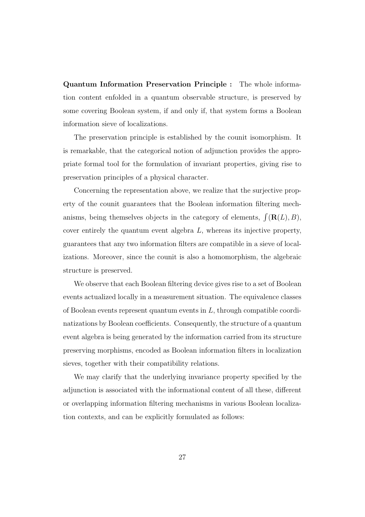Quantum Information Preservation Principle : The whole information content enfolded in a quantum observable structure, is preserved by some covering Boolean system, if and only if, that system forms a Boolean information sieve of localizations.

The preservation principle is established by the counit isomorphism. It is remarkable, that the categorical notion of adjunction provides the appropriate formal tool for the formulation of invariant properties, giving rise to preservation principles of a physical character.

Concerning the representation above, we realize that the surjective property of the counit guarantees that the Boolean information filtering mechanisms, being themselves objects in the category of elements,  $\int (\mathbf{R}(L), B)$ , cover entirely the quantum event algebra L, whereas its injective property, guarantees that any two information filters are compatible in a sieve of localizations. Moreover, since the counit is also a homomorphism, the algebraic structure is preserved.

We observe that each Boolean filtering device gives rise to a set of Boolean events actualized locally in a measurement situation. The equivalence classes of Boolean events represent quantum events in  $L$ , through compatible coordinatizations by Boolean coefficients. Consequently, the structure of a quantum event algebra is being generated by the information carried from its structure preserving morphisms, encoded as Boolean information filters in localization sieves, together with their compatibility relations.

We may clarify that the underlying invariance property specified by the adjunction is associated with the informational content of all these, different or overlapping information filtering mechanisms in various Boolean localization contexts, and can be explicitly formulated as follows: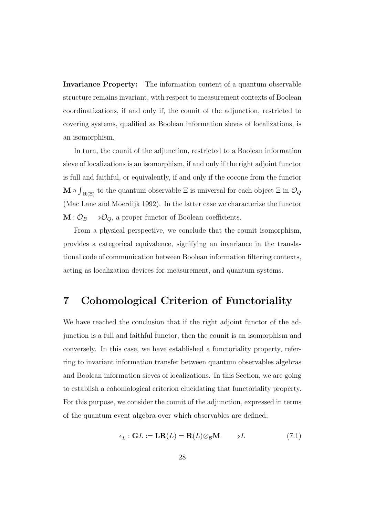Invariance Property: The information content of a quantum observable structure remains invariant, with respect to measurement contexts of Boolean coordinatizations, if and only if, the counit of the adjunction, restricted to covering systems, qualified as Boolean information sieves of localizations, is an isomorphism.

In turn, the counit of the adjunction, restricted to a Boolean information sieve of localizations is an isomorphism, if and only if the right adjoint functor is full and faithful, or equivalently, if and only if the cocone from the functor  $\mathbf{M}$   $\circ$ R  $R(\Xi)$  to the quantum observable  $\Xi$  is universal for each object  $\Xi$  in  $\mathcal{O}_Q$ (Mac Lane and Moerdijk 1992). In the latter case we characterize the functor  $M: \mathcal{O}_B \longrightarrow \mathcal{O}_Q$ , a proper functor of Boolean coefficients.

From a physical perspective, we conclude that the counit isomorphism, provides a categorical equivalence, signifying an invariance in the translational code of communication between Boolean information filtering contexts, acting as localization devices for measurement, and quantum systems.

### 7 Cohomological Criterion of Functoriality

We have reached the conclusion that if the right adjoint functor of the adjunction is a full and faithful functor, then the counit is an isomorphism and conversely. In this case, we have established a functoriality property, referring to invariant information transfer between quantum observables algebras and Boolean information sieves of localizations. In this Section, we are going to establish a cohomological criterion elucidating that functoriality property. For this purpose, we consider the counit of the adjunction, expressed in terms of the quantum event algebra over which observables are defined;

$$
\epsilon_L : GL := LR(L) = R(L) \otimes_B M \longrightarrow L \tag{7.1}
$$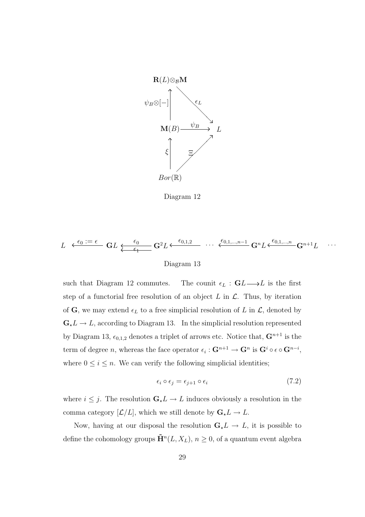

Diagram 12

$$
L \leftarrow \frac{\epsilon_0 := \epsilon}{\mathbf{GL} \underbrace{\epsilon_0}_{\epsilon_1} \mathbf{GL} \underbrace{\epsilon_0}_{\epsilon_2} \mathbf{G}^2 L} \cdots \underbrace{\epsilon_{0,1,2}}_{\text{Diagram 13}} \cdots \underbrace{\epsilon_{0,1,\dots,n-1}}_{\mathbf{GL} \epsilon_0} \mathbf{G}^n L \underbrace{\epsilon_{0,1,\dots,n}}_{\mathbf{GL} \epsilon_0} \mathbf{G}^{n+1} L \cdots
$$

such that Diagram 12 commutes. The counit  $\epsilon_L : GL \longrightarrow L$  is the first step of a functorial free resolution of an object  $L$  in  $\mathcal{L}$ . Thus, by iteration of G, we may extend  $\epsilon_L$  to a free simplicial resolution of L in  $\mathcal{L}$ , denoted by  $\mathbf{G}_{\star}L \to L$ , according to Diagram 13. In the simplicial resolution represented by Diagram 13,  $\epsilon_{0,1,2}$  denotes a triplet of arrows etc. Notice that,  $\mathbf{G}^{n+1}$  is the term of degree *n*, whereas the face operator  $\epsilon_i: \mathbf{G}^{n+1} \to \mathbf{G}^n$  is  $\mathbf{G}^i \circ \epsilon \circ \mathbf{G}^{n-i}$ , where  $0 \leq i \leq n$ . We can verify the following simplicial identities;

$$
\epsilon_i \circ \epsilon_j = \epsilon_{j+1} \circ \epsilon_i \tag{7.2}
$$

where  $i \leq j$ . The resolution  $\mathbf{G}_{\star} L \to L$  induces obviously a resolution in the comma category  $[\mathcal{L}/L]$ , which we still denote by  $\mathbf{G}_{\star}L \to L$ .

Now, having at our disposal the resolution  $\mathbf{G}_{\star}L \to L$ , it is possible to define the cohomology groups  $\tilde{\mathbf{H}}^n(L,X_L),\,n\geq0,$  of a quantum event algebra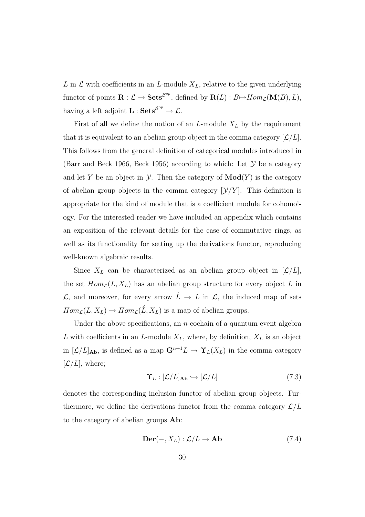L in  $\mathcal L$  with coefficients in an L-module  $X_L$ , relative to the given underlying functor of points  $\mathbf{R}: \mathcal{L} \to \mathbf{Sets}^{\mathcal{B}^{op}}$ , defined by  $\mathbf{R}(L): B \mapsto Hom_{\mathcal{L}}(\mathbf{M}(B), L)$ , having a left adjoint  $\mathbf{L} : \mathbf{Sets}^{\mathcal{B}^{op}} \to \mathcal{L}.$ 

First of all we define the notion of an  $L$ -module  $X_L$  by the requirement that it is equivalent to an abelian group object in the comma category  $[\mathcal{L}/L]$ . This follows from the general definition of categorical modules introduced in (Barr and Beck 1966, Beck 1956) according to which: Let  $\mathcal Y$  be a category and let Y be an object in  $\mathcal Y$ . Then the category of  $\mathbf{Mod}(Y)$  is the category of abelian group objects in the comma category  $[\mathcal{Y}/Y]$ . This definition is appropriate for the kind of module that is a coefficient module for cohomology. For the interested reader we have included an appendix which contains an exposition of the relevant details for the case of commutative rings, as well as its functionality for setting up the derivations functor, reproducing well-known algebraic results.

Since  $X_L$  can be characterized as an abelian group object in  $[\mathcal{L}/L]$ , the set  $Hom_{\mathcal{L}}(L, X_L)$  has an abelian group structure for every object L in  $\mathcal{L}$ , and moreover, for every arrow  $\hat{L} \to L$  in  $\mathcal{L}$ , the induced map of sets  $Hom_{\mathcal{L}}(L, X_L) \to Hom_{\mathcal{L}}(L, X_L)$  is a map of abelian groups.

Under the above specifications, an  $n$ -cochain of a quantum event algebra L with coefficients in an L-module  $X_L$ , where, by definition,  $X_L$  is an object in  $[\mathcal{L}/L]_{\text{Ab}}$ , is defined as a map  $\mathbf{G}^{n+1}L \to \Upsilon_L(X_L)$  in the comma category  $[\mathcal{L}/L]$ , where;

$$
\Upsilon_L : [\mathcal{L}/L]_{\mathbf{Ab}} \hookrightarrow [\mathcal{L}/L] \tag{7.3}
$$

denotes the corresponding inclusion functor of abelian group objects. Furthermore, we define the derivations functor from the comma category  $\mathcal{L}/L$ to the category of abelian groups Ab:

$$
\mathbf{Der}(-, X_L): \mathcal{L}/L \to \mathbf{Ab} \tag{7.4}
$$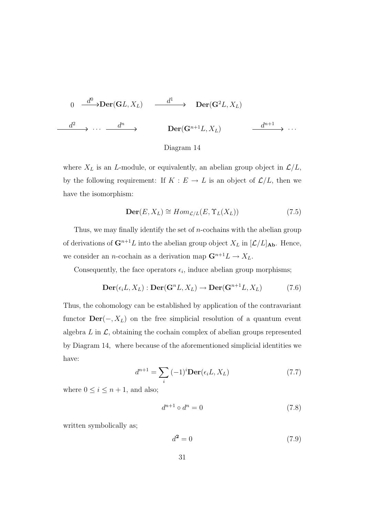$$
0 \xrightarrow{d^0} \text{Der}(\mathbf{G}L, X_L) \xrightarrow{d^1} \text{Der}(\mathbf{G}^2L, X_L)
$$
  

$$
\xrightarrow{d^2} \cdots \xrightarrow{d^n} \text{Der}(\mathbf{G}^{n+1}L, X_L) \xrightarrow{d^{n+1}} \cdots
$$



where  $X_L$  is an L-module, or equivalently, an abelian group object in  $\mathcal{L}/L$ , by the following requirement: If  $K : E \to L$  is an object of  $\mathcal{L}/L$ , then we have the isomorphism:

$$
\mathbf{Der}(E, X_L) \cong Hom_{\mathcal{L}/L}(E, \Upsilon_L(X_L))
$$
\n(7.5)

Thus, we may finally identify the set of  $n$ -cochains with the abelian group of derivations of  $\mathbf{G}^{n+1}L$  into the abelian group object  $X_L$  in  $[\mathcal{L}/L]_{\mathbf{Ab}}$ . Hence, we consider an *n*-cochain as a derivation map  $\mathbf{G}^{n+1}L \to X_L$ .

Consequently, the face operators  $\epsilon_i$ , induce abelian group morphisms;

$$
\mathbf{Der}(\epsilon_i L, X_L) : \mathbf{Der}(\mathbf{G}^n L, X_L) \to \mathbf{Der}(\mathbf{G}^{n+1} L, X_L)
$$
 (7.6)

Thus, the cohomology can be established by application of the contravariant functor  $\textbf{Der}(-, X_L)$  on the free simplicial resolution of a quantum event algebra  $L$  in  $\mathcal{L}$ , obtaining the cochain complex of abelian groups represented by Diagram 14, where because of the aforementioned simplicial identities we have:

$$
d^{n+1} = \sum_{i} (-1)^i \mathbf{Der}(\epsilon_i L, X_L)
$$
 (7.7)

where  $0 \leq i \leq n+1$ , and also;

$$
d^{n+1} \circ d^n = 0 \tag{7.8}
$$

written symbolically as;

$$
d^2 = 0\tag{7.9}
$$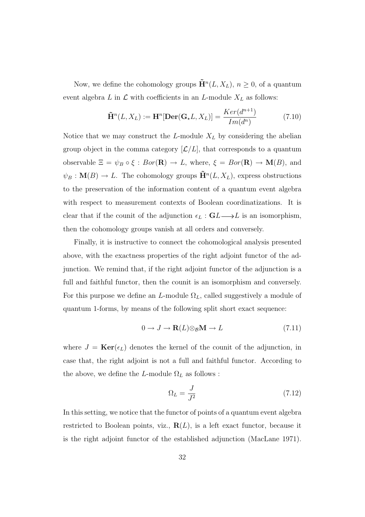Now, we define the cohomology groups  $\tilde{H}^n(L, X_L)$ ,  $n \geq 0$ , of a quantum event algebra  $L$  in  $\mathcal L$  with coefficients in an  $L$ -module  $X_L$  as follows:

$$
\tilde{\mathbf{H}}^n(L, X_L) := \mathbf{H}^n[\mathbf{Der}(\mathbf{G}_{\star}L, X_L)] = \frac{Ker(d^{n+1})}{Im(d^n)} \tag{7.10}
$$

Notice that we may construct the L-module  $X_L$  by considering the abelian group object in the comma category  $[\mathcal{L}/L]$ , that corresponds to a quantum observable  $\Xi = \psi_B \circ \xi : Bor(\mathbf{R}) \to L$ , where,  $\xi = Bor(\mathbf{R}) \to \mathbf{M}(B)$ , and  $\psi_B: \mathbf{M}(B) \to L$ . The cohomology groups  $\tilde{\mathbf{H}}^n(L,X_L)$ , express obstructions to the preservation of the information content of a quantum event algebra with respect to measurement contexts of Boolean coordinatizations. It is clear that if the counit of the adjunction  $\epsilon_L : GL \longrightarrow L$  is an isomorphism, then the cohomology groups vanish at all orders and conversely.

Finally, it is instructive to connect the cohomological analysis presented above, with the exactness properties of the right adjoint functor of the adjunction. We remind that, if the right adjoint functor of the adjunction is a full and faithful functor, then the counit is an isomorphism and conversely. For this purpose we define an L-module  $\Omega_L$ , called suggestively a module of quantum 1-forms, by means of the following split short exact sequence:

$$
0 \to J \to \mathbf{R}(L) \otimes_{\mathcal{B}} \mathbf{M} \to L \tag{7.11}
$$

where  $J = \text{Ker}(\epsilon_L)$  denotes the kernel of the counit of the adjunction, in case that, the right adjoint is not a full and faithful functor. According to the above, we define the L-module  $\Omega_L$  as follows :

$$
\Omega_L = \frac{J}{J^2} \tag{7.12}
$$

In this setting, we notice that the functor of points of a quantum event algebra restricted to Boolean points, viz.,  $\mathbf{R}(L)$ , is a left exact functor, because it is the right adjoint functor of the established adjunction (MacLane 1971).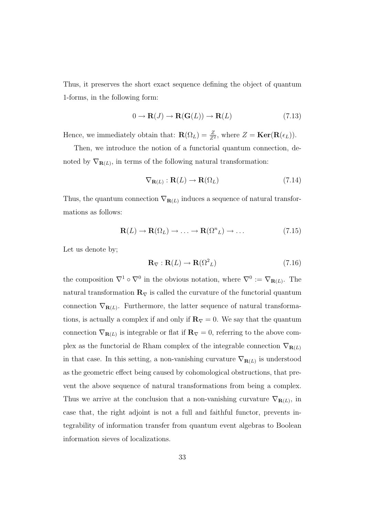Thus, it preserves the short exact sequence defining the object of quantum 1-forms, in the following form:

$$
0 \to \mathbf{R}(J) \to \mathbf{R}(\mathbf{G}(L)) \to \mathbf{R}(L) \tag{7.13}
$$

Hence, we immediately obtain that:  $\mathbf{R}(\Omega_L) = \frac{Z}{Z^2}$ , where  $Z = \text{Ker}(\mathbf{R}(\epsilon_L)).$ 

Then, we introduce the notion of a functorial quantum connection, denoted by  $\nabla_{\mathbf{R}(L)}$ , in terms of the following natural transformation:

$$
\nabla_{\mathbf{R}(L)} : \mathbf{R}(L) \to \mathbf{R}(\Omega_L) \tag{7.14}
$$

Thus, the quantum connection  $\nabla_{\mathbf{R}(L)}$  induces a sequence of natural transformations as follows:

$$
\mathbf{R}(L) \to \mathbf{R}(\Omega_L) \to \dots \to \mathbf{R}(\Omega^n L) \to \dots \tag{7.15}
$$

Let us denote by;

$$
\mathbf{R}_{\nabla} : \mathbf{R}(L) \to \mathbf{R}(\Omega^2_L) \tag{7.16}
$$

the composition  $\nabla^1 \circ \nabla^0$  in the obvious notation, where  $\nabla^0 := \nabla_{\mathbf{R}(L)}$ . The natural transformation  $\mathbf{R}_{\nabla}$  is called the curvature of the functorial quantum connection  $\nabla_{\mathbf{R}(L)}$ . Furthermore, the latter sequence of natural transformations, is actually a complex if and only if  $\mathbf{R}_{\nabla} = 0$ . We say that the quantum connection  $\nabla_{\mathbf{R}(L)}$  is integrable or flat if  $\mathbf{R}_{\nabla} = 0$ , referring to the above complex as the functorial de Rham complex of the integrable connection  $\nabla_{\mathbf{R}(L)}$ in that case. In this setting, a non-vanishing curvature  $\nabla_{\mathbf{R}(L)}$  is understood as the geometric effect being caused by cohomological obstructions, that prevent the above sequence of natural transformations from being a complex. Thus we arrive at the conclusion that a non-vanishing curvature  $\nabla_{\mathbf{R}(L)}$ , in case that, the right adjoint is not a full and faithful functor, prevents integrability of information transfer from quantum event algebras to Boolean information sieves of localizations.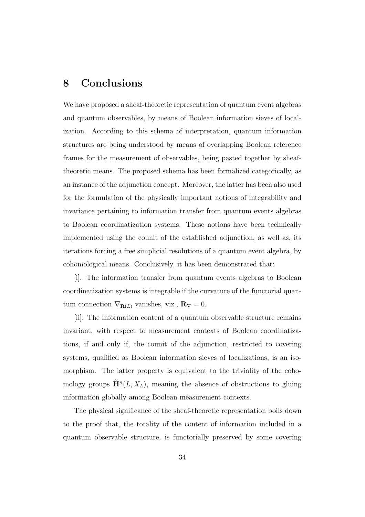### 8 Conclusions

We have proposed a sheaf-theoretic representation of quantum event algebras and quantum observables, by means of Boolean information sieves of localization. According to this schema of interpretation, quantum information structures are being understood by means of overlapping Boolean reference frames for the measurement of observables, being pasted together by sheaftheoretic means. The proposed schema has been formalized categorically, as an instance of the adjunction concept. Moreover, the latter has been also used for the formulation of the physically important notions of integrability and invariance pertaining to information transfer from quantum events algebras to Boolean coordinatization systems. These notions have been technically implemented using the counit of the established adjunction, as well as, its iterations forcing a free simplicial resolutions of a quantum event algebra, by cohomological means. Conclusively, it has been demonstrated that:

[i]. The information transfer from quantum events algebras to Boolean coordinatization systems is integrable if the curvature of the functorial quantum connection  $\nabla_{\mathbf{R}(L)}$  vanishes, viz.,  $\mathbf{R}_{\nabla} = 0$ .

[ii]. The information content of a quantum observable structure remains invariant, with respect to measurement contexts of Boolean coordinatizations, if and only if, the counit of the adjunction, restricted to covering systems, qualified as Boolean information sieves of localizations, is an isomorphism. The latter property is equivalent to the triviality of the cohomology groups  $\tilde{H}^n(L, X_L)$ , meaning the absence of obstructions to gluing information globally among Boolean measurement contexts.

The physical significance of the sheaf-theoretic representation boils down to the proof that, the totality of the content of information included in a quantum observable structure, is functorially preserved by some covering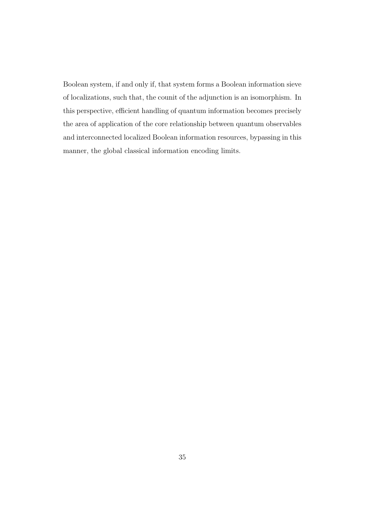Boolean system, if and only if, that system forms a Boolean information sieve of localizations, such that, the counit of the adjunction is an isomorphism. In this perspective, efficient handling of quantum information becomes precisely the area of application of the core relationship between quantum observables and interconnected localized Boolean information resources, bypassing in this manner, the global classical information encoding limits.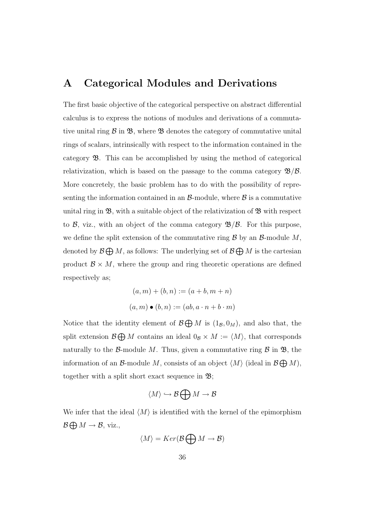#### A Categorical Modules and Derivations

The first basic objective of the categorical perspective on abstract differential calculus is to express the notions of modules and derivations of a commutative unital ring  $\mathcal B$  in  $\mathfrak B$ , where  $\mathfrak B$  denotes the category of commutative unital rings of scalars, intrinsically with respect to the information contained in the category B. This can be accomplished by using the method of categorical relativization, which is based on the passage to the comma category  $\mathcal{B}/\mathcal{B}$ . More concretely, the basic problem has to do with the possibility of representing the information contained in an  $\beta$ -module, where  $\beta$  is a commutative unital ring in  $\mathfrak{B}$ , with a suitable object of the relativization of  $\mathfrak{B}$  with respect to  $\beta$ , viz., with an object of the comma category  $\mathcal{B}/\beta$ . For this purpose, we define the split extension of the commutative ring  $\mathcal B$  by an  $\mathcal B$ -module  $M$ , denoted by  $\mathcal{B} \bigoplus M$ , as follows: The underlying set of  $\mathcal{B} \bigoplus M$  is the cartesian product  $\mathcal{B} \times M$ , where the group and ring theoretic operations are defined respectively as;

$$
(a, m) + (b, n) := (a + b, m + n)
$$

$$
(a, m) \bullet (b, n) := (ab, a \cdot n + b \cdot m)
$$

Notice that the identity element of  $\mathcal{B} \bigoplus M$  is  $(1_{\mathcal{B}}, 0_M)$ , and also that, the split extension  $\mathcal{B} \bigoplus M$  contains an ideal  $0_{\mathcal{B}} \times M := \langle M \rangle$ , that corresponds naturally to the B-module M. Thus, given a commutative ring  $\beta$  in  $\mathfrak{B}$ , the information of an B-module M, consists of an object  $\langle M \rangle$  (ideal in  $\mathcal{B} \bigoplus M$ ), together with a split short exact sequence in  $\mathfrak{B}$ ;

$$
\langle M \rangle \hookrightarrow \mathcal{B} \bigoplus M \to \mathcal{B}
$$

We infer that the ideal  $\langle M \rangle$  is identified with the kernel of the epimorphism  $\mathcal{B} \bigoplus M \to \mathcal{B}$ , viz.,

$$
\langle M \rangle = Ker(\mathcal{B} \bigoplus M \to \mathcal{B})
$$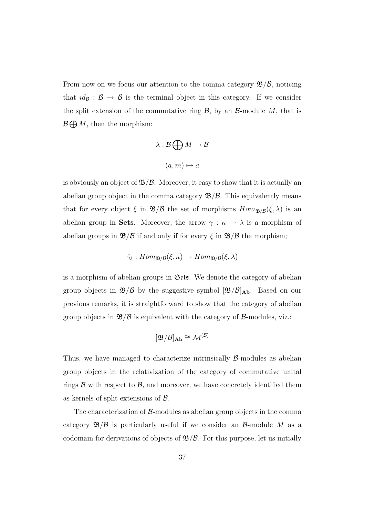From now on we focus our attention to the comma category  $\mathcal{B}/\mathcal{B}$ , noticing that  $id_{\mathcal{B}} : \mathcal{B} \to \mathcal{B}$  is the terminal object in this category. If we consider the split extension of the commutative ring  $\mathcal{B}$ , by an  $\mathcal{B}$ -module M, that is  $\mathcal{B} \bigoplus M$ , then the morphism:

$$
\lambda : \mathcal{B} \bigoplus M \to \mathcal{B}
$$

$$
(a, m) \mapsto a
$$

is obviously an object of  $\mathcal{B}/\mathcal{B}$ . Moreover, it easy to show that it is actually an abelian group object in the comma category  $\mathcal{B}/\mathcal{B}$ . This equivalently means that for every object  $\xi$  in  $\mathfrak{B}/\mathfrak{B}$  the set of morphisms  $Hom_{\mathfrak{B}/\mathfrak{B}}(\xi, \lambda)$  is an abelian group in Sets. Moreover, the arrow  $\gamma : \kappa \to \lambda$  is a morphism of abelian groups in  $\mathcal{B}/\mathcal{B}$  if and only if for every  $\xi$  in  $\mathcal{B}/\mathcal{B}$  the morphism;

$$
\hat{\gamma}_{\xi}: Hom_{\mathfrak{B}/\mathcal{B}}(\xi,\kappa) \to Hom_{\mathfrak{B}/\mathcal{B}}(\xi,\lambda)
$$

is a morphism of abelian groups in Sets. We denote the category of abelian group objects in  $\mathfrak{B}/\mathcal{B}$  by the suggestive symbol  $[\mathfrak{B}/\mathcal{B}]_{\mathbf{Ab}}$ . Based on our previous remarks, it is straightforward to show that the category of abelian group objects in  $\mathfrak{B}/\mathfrak{B}$  is equivalent with the category of  $\mathcal{B}$ -modules, viz.:

$$
[\mathfrak{B}/\mathcal{B}]_{\mathbf{Ab}} \cong \mathcal{M}^{(\mathcal{B})}
$$

Thus, we have managed to characterize intrinsically  $\beta$ -modules as abelian group objects in the relativization of the category of commutative unital rings  $\beta$  with respect to  $\beta$ , and moreover, we have concretely identified them as kernels of split extensions of  $\beta$ .

The characterization of  $\beta$ -modules as abelian group objects in the comma category  $\mathfrak{B}/\mathfrak{B}$  is particularly useful if we consider an  $\mathcal{B}$ -module M as a codomain for derivations of objects of  $\mathcal{B}/\mathcal{B}$ . For this purpose, let us initially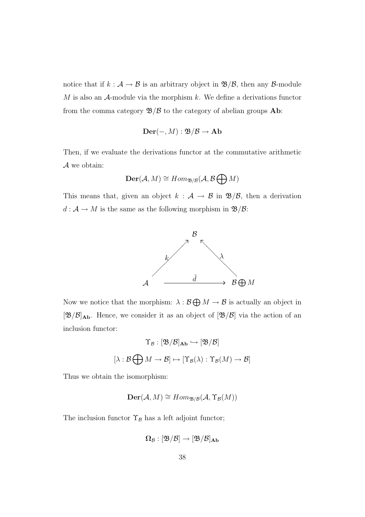notice that if  $k : A \to B$  is an arbitrary object in  $\mathfrak{B}/B$ , then any B-module  $M$  is also an  $A$ -module via the morphism  $k$ . We define a derivations functor from the comma category  $\mathfrak{B}/\mathfrak{B}$  to the category of abelian groups **Ab**:

$$
\mathbf{Der}(-,M): \mathfrak{B}/\mathcal{B} \to \mathbf{Ab}
$$

Then, if we evaluate the derivations functor at the commutative arithmetic A we obtain:

$$
\mathbf{Der}(\mathcal{A}, M) \cong Hom_{\mathfrak{B}/\mathcal{B}}(\mathcal{A}, \mathcal{B} \bigoplus M)
$$

This means that, given an object  $k : A \rightarrow B$  in  $\mathcal{B}/\mathcal{B}$ , then a derivation  $d: \mathcal{A} \rightarrow M$  is the same as the following morphism in  $\mathfrak{B}/\mathcal{B}$ :



Now we notice that the morphism:  $\lambda : \mathcal{B} \bigoplus M \to \mathcal{B}$  is actually an object in  $[\mathfrak{B}/\mathcal{B}]_{\bf Ab}$ . Hence, we consider it as an object of  $[\mathfrak{B}/\mathcal{B}]$  via the action of an inclusion functor:

$$
\Upsilon_{\mathcal{B}} : [\mathfrak{B}/\mathcal{B}]_{\mathbf{Ab}} \hookrightarrow [\mathfrak{B}/\mathcal{B}]
$$

$$
[\lambda : \mathcal{B} \bigoplus M \to \mathcal{B}] \mapsto [\Upsilon_{\mathcal{B}}(\lambda) : \Upsilon_{\mathcal{B}}(M) \to \mathcal{B}]
$$

Thus we obtain the isomorphism:

$$
\mathbf{Der}(\mathcal{A}, M) \cong Hom_{\mathfrak{B}/\mathcal{B}}(\mathcal{A}, \Upsilon_{\mathcal{B}}(M))
$$

The inclusion functor  $\Upsilon_B$  has a left adjoint functor;

$$
\Omega_{\mathcal{B}}: [\mathfrak{B}/\mathcal{B}]\to [\mathfrak{B}/\mathcal{B}]_{\bf Ab}
$$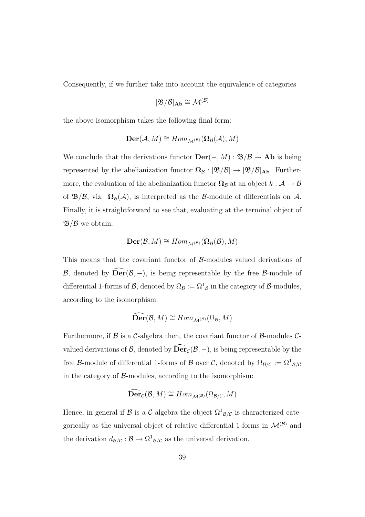Consequently, if we further take into account the equivalence of categories

$$
[\mathfrak{B}/\mathcal{B}]_{\mathbf{Ab}} \cong \mathcal{M}^{(\mathcal{B})}
$$

the above isomorphism takes the following final form:

$$
\mathbf{Der}(\mathcal{A},M)\cong Hom_{\mathcal{M}^{(\mathcal{B})}}(\Omega_{\mathcal{B}}(\mathcal{A}),M)
$$

We conclude that the derivations functor  $\textbf{Der}(-, M) : \mathfrak{B}/\mathcal{B} \to \textbf{Ab}$  is being represented by the abelianization functor  $\Omega_B : [\mathfrak{B}/\mathcal{B}] \to [\mathfrak{B}/\mathcal{B}]$ Ab. Furthermore, the evaluation of the abelianization functor  $\Omega_B$  at an object  $k : A \to B$ of  $\mathfrak{B}/\mathcal{B}$ , viz.  $\Omega_{\mathcal{B}}(\mathcal{A})$ , is interpreted as the  $\mathcal{B}$ -module of differentials on  $\mathcal{A}$ . Finally, it is straightforward to see that, evaluating at the terminal object of  $\mathfrak{B}/\mathcal{B}$  we obtain:

$$
\mathbf{Der}(\mathcal{B},M)\cong Hom_{\mathcal{M}^{(\mathcal{B})}}(\Omega_{\mathcal{B}}(\mathcal{B}),M)
$$

This means that the covariant functor of  $\beta$ -modules valued derivations of B, denoted by  $\text{Der}(\mathcal{B}, -)$ , is being representable by the free B-module of differential 1-forms of  $\mathcal{B}$ , denoted by  $\Omega_{\mathcal{B}} := \Omega^1{}_{\mathcal{B}}$  in the category of  $\mathcal{B}$ -modules, according to the isomorphism:

$$
\widehat{\mathbf{Der}}(\mathcal{B},M)\cong Hom_{\mathcal{M}^{(\mathcal{B})}}(\Omega_{\mathcal{B}},M)
$$

Furthermore, if  $\beta$  is a C-algebra then, the covariant functor of  $\beta$ -modules Cvalued derivations of  $\mathcal{B}$ , denoted by  $\widehat{\text{Der}}_{\mathcal{C}}(\mathcal{B}, -)$ , is being representable by the free B-module of differential 1-forms of B over C, denoted by  $\Omega_{\mathcal{B}/\mathcal{C}} := \Omega^1_{\mathcal{B}/\mathcal{C}}$ in the category of  $\beta$ -modules, according to the isomorphism:

$$
\widehat{\mathbf{Der}}_{\mathcal{C}}(\mathcal{B}, M) \cong Hom_{\mathcal{M}^{(\mathcal{B})}}(\Omega_{\mathcal{B}/\mathcal{C}}, M)
$$

Hence, in general if B is a C-algebra the object  $\Omega^1_{\mathcal{B}/\mathcal{C}}$  is characterized categorically as the universal object of relative differential 1-forms in  $\mathcal{M}^{(\mathcal{B})}$  and the derivation  $d_{\mathcal{B}/\mathcal{C}} : \mathcal{B} \to \Omega^1_{\mathcal{B}/\mathcal{C}}$  as the universal derivation.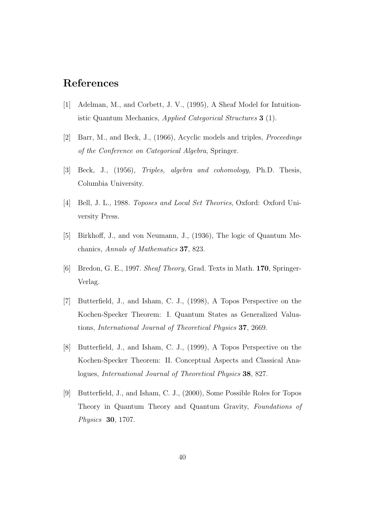### References

- [1] Adelman, M., and Corbett, J. V., (1995), A Sheaf Model for Intuitionistic Quantum Mechanics, Applied Categorical Structures 3 (1).
- [2] Barr, M., and Beck, J., (1966), Acyclic models and triples, Proceedings of the Conference on Categorical Algebra, Springer.
- [3] Beck, J., (1956), Triples, algebra and cohomology, Ph.D. Thesis, Columbia University.
- [4] Bell, J. L., 1988. Toposes and Local Set Theories, Oxford: Oxford University Press.
- [5] Birkhoff, J., and von Neumann, J., (1936), The logic of Quantum Mechanics, Annals of Mathematics 37, 823.
- [6] Bredon, G. E., 1997. Sheaf Theory, Grad. Texts in Math. 170, Springer-Verlag.
- [7] Butterfield, J., and Isham, C. J., (1998), A Topos Perspective on the Kochen-Specker Theorem: I. Quantum States as Generalized Valuations, International Journal of Theoretical Physics 37, 2669.
- [8] Butterfield, J., and Isham, C. J., (1999), A Topos Perspective on the Kochen-Specker Theorem: II. Conceptual Aspects and Classical Analogues, International Journal of Theoretical Physics 38, 827.
- [9] Butterfield, J., and Isham, C. J., (2000), Some Possible Roles for Topos Theory in Quantum Theory and Quantum Gravity, Foundations of Physics 30, 1707.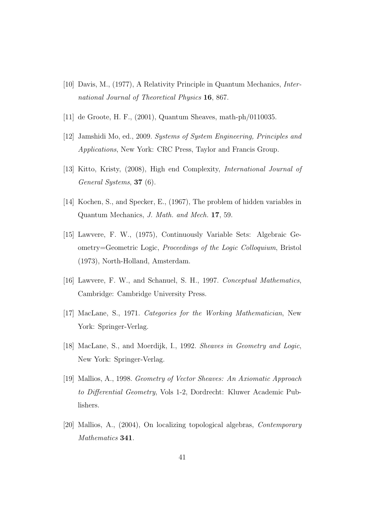- [10] Davis, M., (1977), A Relativity Principle in Quantum Mechanics, International Journal of Theoretical Physics 16, 867.
- [11] de Groote, H. F., (2001), Quantum Sheaves, math-ph/0110035.
- [12] Jamshidi Mo, ed., 2009. Systems of System Engineering, Principles and Applications, New York: CRC Press, Taylor and Francis Group.
- [13] Kitto, Kristy, (2008), High end Complexity, International Journal of General Systems, 37 (6).
- [14] Kochen, S., and Specker, E., (1967), The problem of hidden variables in Quantum Mechanics, J. Math. and Mech. 17, 59.
- [15] Lawvere, F. W., (1975), Continuously Variable Sets: Algebraic Geometry=Geometric Logic, Proceedings of the Logic Colloquium, Bristol (1973), North-Holland, Amsterdam.
- [16] Lawvere, F. W., and Schanuel, S. H., 1997. Conceptual Mathematics, Cambridge: Cambridge University Press.
- [17] MacLane, S., 1971. Categories for the Working Mathematician, New York: Springer-Verlag.
- [18] MacLane, S., and Moerdijk, I., 1992. Sheaves in Geometry and Logic, New York: Springer-Verlag.
- [19] Mallios, A., 1998. Geometry of Vector Sheaves: An Axiomatic Approach to Differential Geometry, Vols 1-2, Dordrecht: Kluwer Academic Publishers.
- [20] Mallios, A., (2004), On localizing topological algebras, Contemporary Mathematics 341.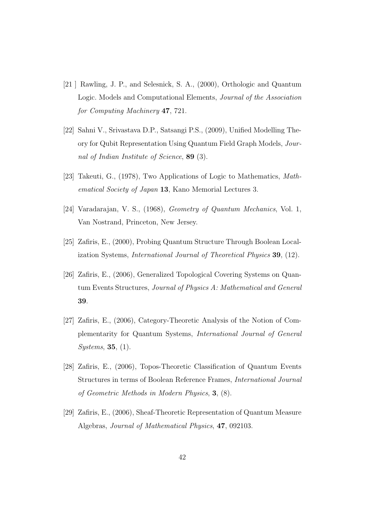- [21 ] Rawling, J. P., and Selesnick, S. A., (2000), Orthologic and Quantum Logic. Models and Computational Elements, Journal of the Association for Computing Machinery 47, 721.
- [22] Sahni V., Srivastava D.P., Satsangi P.S., (2009), Unified Modelling Theory for Qubit Representation Using Quantum Field Graph Models, Journal of Indian Institute of Science, 89 (3).
- [23] Takeuti, G., (1978), Two Applications of Logic to Mathematics, Mathematical Society of Japan 13, Kano Memorial Lectures 3.
- [24] Varadarajan, V. S., (1968), Geometry of Quantum Mechanics, Vol. 1, Van Nostrand, Princeton, New Jersey.
- [25] Zafiris, E., (2000), Probing Quantum Structure Through Boolean Localization Systems, International Journal of Theoretical Physics 39, (12).
- [26] Zafiris, E., (2006), Generalized Topological Covering Systems on Quantum Events Structures, Journal of Physics A: Mathematical and General 39.
- [27] Zafiris, E., (2006), Category-Theoretic Analysis of the Notion of Complementarity for Quantum Systems, International Journal of General Systems, 35, (1).
- [28] Zafiris, E., (2006), Topos-Theoretic Classification of Quantum Events Structures in terms of Boolean Reference Frames, International Journal of Geometric Methods in Modern Physics, 3, (8).
- [29] Zafiris, E., (2006), Sheaf-Theoretic Representation of Quantum Measure Algebras, Journal of Mathematical Physics, 47, 092103.